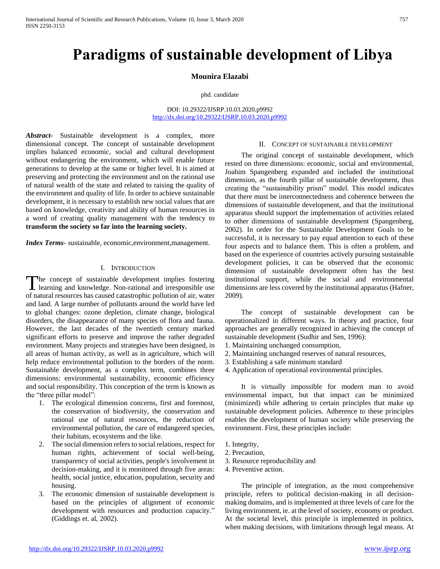# **Paradigms of sustainable development of Libya**

#### **Mounira Elazabi**

phd. candidate

DOI: 10.29322/IJSRP.10.03.2020.p9992 <http://dx.doi.org/10.29322/IJSRP.10.03.2020.p9992>

*Abstract***-** Sustainable development is a complex, more dimensional concept. The concept of sustainable development implies balanced economic, social and cultural development without endangering the environment, which will enable future generations to develop at the same or higher level. It is aimed at preserving and protecting the environment and on the rational use of natural wealth of the state and related to raising the quality of the environment and quality of life. In order to achieve sustainable development, it is necessary to establish new social values that are based on knowledge, creativity and ability of human resources in a word of creating quality management with the tendency to **transform the society so far into the learning society.**

*Index Terms*- sustainable, economic,environment,management.

# I. INTRODUCTION

The concept of sustainable development implies fostering The concept of sustainable development implies fostering<br>learning and knowledge. Non-rational and irresponsible use of natural resources has caused catastrophic pollution of air, water and land. A large number of pollutants around the world have led to global changes: ozone depletion, climate change, biological disorders, the disappearance of many species of flora and fauna. However, the last decades of the twentieth century marked significant efforts to preserve and improve the rather degraded environment. Many projects and strategies have been designed, in all areas of human activity, as well as in agriculture, which will help reduce environmental pollution to the borders of the norm. Sustainable development, as a complex term, combines three dimensions: environmental sustainability, economic efficiency and social responsibility. This conception of the term is known as the "three pillar model":

- 1. The ecological dimension concerns, first and foremost, the conservation of biodiversity, the conservation and rational use of natural resources, the reduction of environmental pollution, the care of endangered species, their habitats, ecosystems and the like.
- 2. The social dimension refers to social relations, respect for human rights, achievement of social well-being, transparency of social activities, people's involvement in decision-making, and it is monitored through five areas: health, social justice, education, population, security and housing.
- 3. The economic dimension of sustainable development is based on the principles of alignment of economic development with resources and production capacity." (Giddings et. al, 2002).

#### II. CONCEPT OF SUSTAINABLE DEVELOPMENT

 The original concept of sustainable development, which rested on three dimensions: economic, social and environmental, Joahim Spangenberg expanded and included the institutional dimension, as the fourth pillar of sustainable development, thus creating the "sustainability prism" model. This model indicates that there must be interconnectedness and coherence between the dimensions of sustainable development, and that the institutional apparatus should support the implementation of activities related to other dimensions of sustainable development (Spangenberg, 2002). In order for the Sustainable Development Goals to be successful, it is necessary to pay equal attention to each of these four aspects and to balance them. This is often a problem, and based on the experience of countries actively pursuing sustainable development policies, it can be observed that the economic dimension of sustainable development often has the best institutional support, while the social and environmental dimensions are less covered by the institutional apparatus (Hafner, 2009).

 The concept of sustainable development can be operationalized in different ways. In theory and practice, four approaches are generally recognized in achieving the concept of sustainable development (Sudhir and Sen, 1996):

- 1. Maintaining unchanged consumption,
- 2. Maintaining unchanged reserves of natural resources,

3. Establishing a safe minimum standard

4. Application of operational environmental principles.

 It is virtually impossible for modern man to avoid environmental impact, but that impact can be minimized (minimized) while adhering to certain principles that make up sustainable development policies. Adherence to these principles enables the development of human society while preserving the environment. First, these principles include:

- 1. Integrity,
- 2. Precaution,
- 3. Resource reproducibility and
- 4. Preventive action.

 The principle of integration, as the most comprehensive principle, refers to political decision-making in all decisionmaking domains, and is implemented at three levels of care for the living environment, ie. at the level of society, economy or product. At the societal level, this principle is implemented in politics, when making decisions, with limitations through legal means. At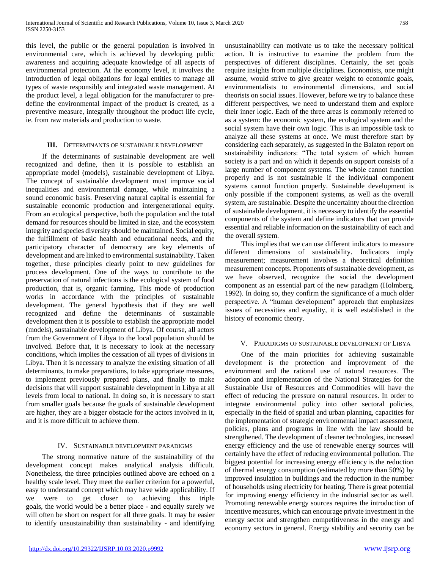this level, the public or the general population is involved in environmental care, which is achieved by developing public awareness and acquiring adequate knowledge of all aspects of environmental protection. At the economy level, it involves the introduction of legal obligations for legal entities to manage all types of waste responsibly and integrated waste management. At the product level, a legal obligation for the manufacturer to predefine the environmental impact of the product is created, as a preventive measure, integrally throughout the product life cycle, ie. from raw materials and production to waste.

# **III.** DETERMINANTS OF SUSTAINABLE DEVELOPMENT

 If the determinants of sustainable development are well recognized and define, then it is possible to establish an appropriate model (models), sustainable development of Libya. The concept of sustainable development must improve social inequalities and environmental damage, while maintaining a sound economic basis. Preserving natural capital is essential for sustainable economic production and intergenerational equity. From an ecological perspective, both the population and the total demand for resources should be limited in size, and the ecosystem integrity and species diversity should be maintained. Social equity, the fulfillment of basic health and educational needs, and the participatory character of democracy are key elements of development and are linked to environmental sustainability. Taken together, these principles clearly point to new guidelines for process development. One of the ways to contribute to the preservation of natural infections is the ecological system of food production, that is, organic farming. This mode of production works in accordance with the principles of sustainable development. The general hypothesis that if they are well recognized and define the determinants of sustainable development then it is possible to establish the appropriate model (models), sustainable development of Libya. Of course, all actors from the Government of Libya to the local population should be involved. Before that, it is necessary to look at the necessary conditions, which implies the cessation of all types of divisions in Libya. Then it is necessary to analyze the existing situation of all determinants, to make preparations, to take appropriate measures, to implement previously prepared plans, and finally to make decisions that will support sustainable development in Libya at all levels from local to national. In doing so, it is necessary to start from smaller goals because the goals of sustainable development are higher, they are a bigger obstacle for the actors involved in it, and it is more difficult to achieve them.

# IV. SUSTAINABLE DEVELOPMENT PARADIGMS

 The strong normative nature of the sustainability of the development concept makes analytical analysis difficult. Nonetheless, the three principles outlined above are echoed on a healthy scale level. They meet the earlier criterion for a powerful, easy to understand concept which may have wide applicability. If we were to get closer to achieving this triple goals, the world would be a better place - and equally surely we will often be short on respect for all three goals. It may be easier to identify unsustainability than sustainability - and identifying unsustainability can motivate us to take the necessary political action. It is instructive to examine the problem from the perspectives of different disciplines. Certainly, the set goals require insights from multiple disciplines. Economists, one might assume, would strive to give greater weight to economic goals, environmentalists to environmental dimensions, and social theorists on social issues. However, before we try to balance these different perspectives, we need to understand them and explore their inner logic. Each of the three areas is commonly referred to as a system: the economic system, the ecological system and the social system have their own logic. This is an impossible task to analyze all these systems at once. We must therefore start by considering each separately, as suggested in the Balaton report on sustainability indicators: "The total system of which human society is a part and on which it depends on support consists of a large number of component systems. The whole cannot function properly and is not sustainable if the individual component systems cannot function properly. Sustainable development is only possible if the component systems, as well as the overall system, are sustainable. Despite the uncertainty about the direction of sustainable development, it is necessary to identify the essential components of the system and define indicators that can provide essential and reliable information on the sustainability of each and the overall system.

 This implies that we can use different indicators to measure different dimensions of sustainability. Indicators imply measurement; measurement involves a theoretical definition measurement concepts. Proponents of sustainable development, as we have observed, recognize the social the development component as an essential part of the new paradigm (Holmberg, 1992). In doing so, they confirm the significance of a much older perspective. A "human development" approach that emphasizes issues of necessities and equality, it is well established in the history of economic theory.

# V. PARADIGMS OF SUSTAINABLE DEVELOPMENT OF LIBYA

 One of the main priorities for achieving sustainable development is the protection and improvement of the environment and the rational use of natural resources. The adoption and implementation of the National Strategies for the Sustainable Use of Resources and Commodities will have the effect of reducing the pressure on natural resources. In order to integrate environmental policy into other sectoral policies, especially in the field of spatial and urban planning, capacities for the implementation of strategic environmental impact assessment, policies, plans and programs in line with the law should be strengthened. The development of cleaner technologies, increased energy efficiency and the use of renewable energy sources will certainly have the effect of reducing environmental pollution. The biggest potential for increasing energy efficiency is the reduction of thermal energy consumption (estimated by more than 50%) by improved insulation in buildings and the reduction in the number of households using electricity for heating. There is great potential for improving energy efficiency in the industrial sector as well. Promoting renewable energy sources requires the introduction of incentive measures, which can encourage private investment in the energy sector and strengthen competitiveness in the energy and economy sectors in general. Energy stability and security can be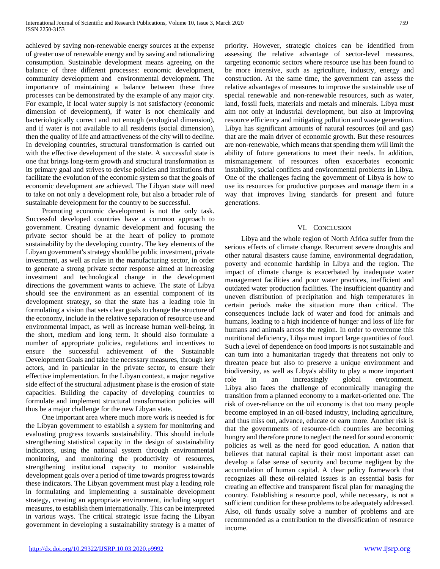achieved by saving non-renewable energy sources at the expense of greater use of renewable energy and by saving and rationalizing consumption. Sustainable development means agreeing on the balance of three different processes: economic development, community development and environmental development. The importance of maintaining a balance between these three processes can be demonstrated by the example of any major city. For example, if local water supply is not satisfactory (economic dimension of development), if water is not chemically and bacteriologically correct and not enough (ecological dimension), and if water is not available to all residents (social dimension), then the quality of life and attractiveness of the city will to decline. In developing countries, structural transformation is carried out with the effective development of the state. A successful state is one that brings long-term growth and structural transformation as its primary goal and strives to devise policies and institutions that facilitate the evolution of the economic system so that the goals of economic development are achieved. The Libyan state will need to take on not only a development role, but also a broader role of sustainable development for the country to be successful.

 Promoting economic development is not the only task. Successful developed countries have a common approach to government. Creating dynamic development and focusing the private sector should be at the heart of policy to promote sustainability by the developing country. The key elements of the Libyan government's strategy should be public investment, private investment, as well as rules in the manufacturing sector, in order to generate a strong private sector response aimed at increasing investment and technological change in the development directions the government wants to achieve. The state of Libya should see the environment as an essential component of its development strategy, so that the state has a leading role in formulating a vision that sets clear goals to change the structure of the economy, include in the relative separation of resource use and environmental impact, as well as increase human well-being. in the short, medium and long term. It should also formulate a number of appropriate policies, regulations and incentives to ensure the successful achievement of the Sustainable Development Goals and take the necessary measures, through key actors, and in particular in the private sector, to ensure their effective implementation. In the Libyan context, a major negative side effect of the structural adjustment phase is the erosion of state capacities. Building the capacity of developing countries to formulate and implement structural transformation policies will thus be a major challenge for the new Libyan state.

 One important area where much more work is needed is for the Libyan government to establish a system for monitoring and evaluating progress towards sustainability. This should include strengthening statistical capacity in the design of sustainability indicators, using the national system through environmental monitoring, and monitoring the productivity of resources, strengthening institutional capacity to monitor sustainable development goals over a period of time towards progress towards these indicators. The Libyan government must play a leading role in formulating and implementing a sustainable development strategy, creating an appropriate environment, including support measures, to establish them internationally. This can be interpreted in various ways. The critical strategic issue facing the Libyan government in developing a sustainability strategy is a matter of priority. However, strategic choices can be identified from assessing the relative advantage of sector-level measures, targeting economic sectors where resource use has been found to be more intensive, such as agriculture, industry, energy and construction. At the same time, the government can assess the relative advantages of measures to improve the sustainable use of special renewable and non-renewable resources, such as water, land, fossil fuels, materials and metals and minerals. Libya must aim not only at industrial development, but also at improving resource efficiency and mitigating pollution and waste generation. Libya has significant amounts of natural resources (oil and gas) that are the main driver of economic growth. But these resources are non-renewable, which means that spending them will limit the ability of future generations to meet their needs. In addition, mismanagement of resources often exacerbates economic instability, social conflicts and environmental problems in Libya. One of the challenges facing the government of Libya is how to use its resources for productive purposes and manage them in a way that improves living standards for present and future generations.

# VI. CONCLUSION

 Libya and the whole region of North Africa suffer from the serious effects of climate change. Recurrent severe droughts and other natural disasters cause famine, environmental degradation, poverty and economic hardship in Libya and the region. The impact of climate change is exacerbated by inadequate water management facilities and poor water practices, inefficient and outdated water production facilities. The insufficient quantity and uneven distribution of precipitation and high temperatures in certain periods make the situation more than critical. The consequences include lack of water and food for animals and humans, leading to a high incidence of hunger and loss of life for humans and animals across the region. In order to overcome this nutritional deficiency, Libya must import large quantities of food. Such a level of dependence on food imports is not sustainable and can turn into a humanitarian tragedy that threatens not only to threaten peace but also to preserve a unique environment and biodiversity, as well as Libya's ability to play a more important role in an increasingly global environment. Libya also faces the challenge of economically managing the transition from a planned economy to a market-oriented one. The risk of over-reliance on the oil economy is that too many people become employed in an oil-based industry, including agriculture, and thus miss out, advance, educate or earn more. Another risk is that the governments of resource-rich countries are becoming hungry and therefore prone to neglect the need for sound economic policies as well as the need for good education. A nation that believes that natural capital is their most important asset can develop a false sense of security and become negligent by the accumulation of human capital. A clear policy framework that recognizes all these oil-related issues is an essential basis for creating an effective and transparent fiscal plan for managing the country. Establishing a resource pool, while necessary, is not a sufficient condition for these problems to be adequately addressed. Also, oil funds usually solve a number of problems and are recommended as a contribution to the diversification of resource income.